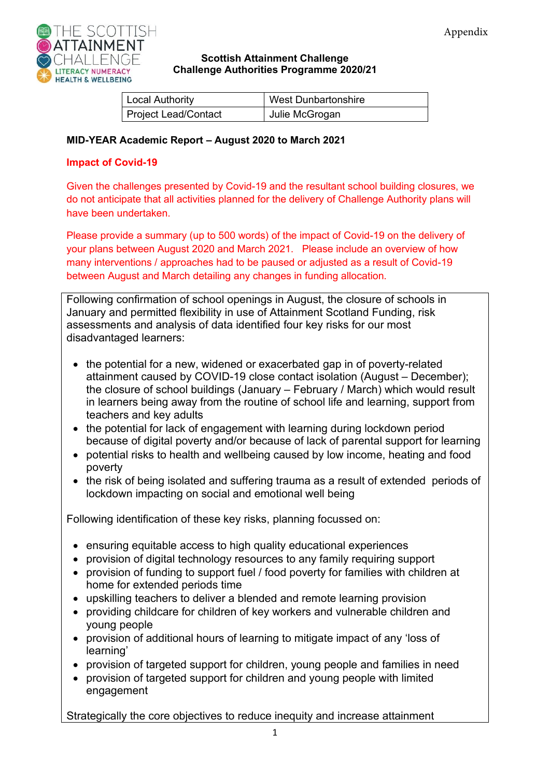

#### **Scottish Attainment Challenge Challenge Authorities Programme 2020/21**

| Local Authority      | <b>West Dunbartonshire</b> |
|----------------------|----------------------------|
| Project Lead/Contact | Julie McGrogan             |

#### **MID-YEAR Academic Report – August 2020 to March 2021**

#### **Impact of Covid-19**

Given the challenges presented by Covid-19 and the resultant school building closures, we do not anticipate that all activities planned for the delivery of Challenge Authority plans will have been undertaken.

Please provide a summary (up to 500 words) of the impact of Covid-19 on the delivery of your plans between August 2020 and March 2021. Please include an overview of how many interventions / approaches had to be paused or adjusted as a result of Covid-19 between August and March detailing any changes in funding allocation.

Following confirmation of school openings in August, the closure of schools in January and permitted flexibility in use of Attainment Scotland Funding, risk assessments and analysis of data identified four key risks for our most disadvantaged learners:

- the potential for a new, widened or exacerbated gap in of poverty-related attainment caused by COVID-19 close contact isolation (August – December); the closure of school buildings (January – February / March) which would result in learners being away from the routine of school life and learning, support from teachers and key adults
- the potential for lack of engagement with learning during lockdown period because of digital poverty and/or because of lack of parental support for learning
- potential risks to health and wellbeing caused by low income, heating and food poverty
- the risk of being isolated and suffering trauma as a result of extended periods of lockdown impacting on social and emotional well being

Following identification of these key risks, planning focussed on:

- ensuring equitable access to high quality educational experiences
- provision of digital technology resources to any family requiring support
- provision of funding to support fuel / food poverty for families with children at home for extended periods time
- upskilling teachers to deliver a blended and remote learning provision
- providing childcare for children of key workers and vulnerable children and young people
- provision of additional hours of learning to mitigate impact of any 'loss of learning'
- provision of targeted support for children, young people and families in need
- provision of targeted support for children and young people with limited engagement

Strategically the core objectives to reduce inequity and increase attainment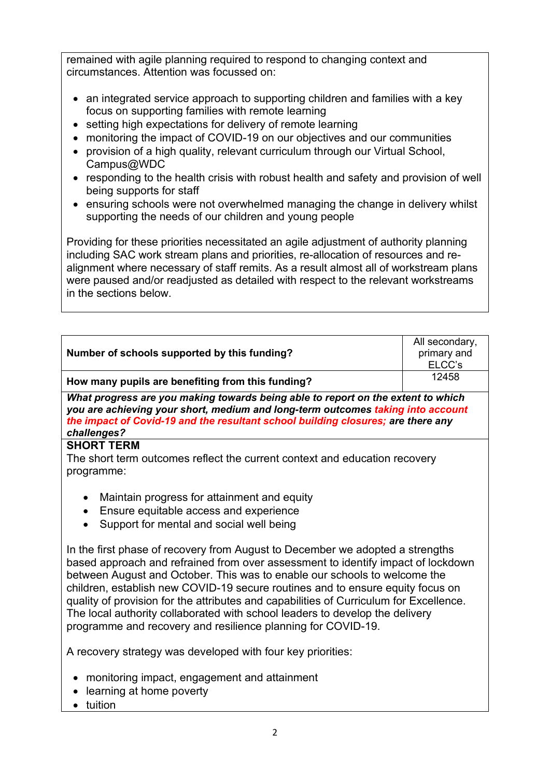remained with agile planning required to respond to changing context and circumstances. Attention was focussed on:

- an integrated service approach to supporting children and families with a key focus on supporting families with remote learning
- setting high expectations for delivery of remote learning
- monitoring the impact of COVID-19 on our objectives and our communities
- provision of a high quality, relevant curriculum through our Virtual School, Campus@WDC
- responding to the health crisis with robust health and safety and provision of well being supports for staff
- ensuring schools were not overwhelmed managing the change in delivery whilst supporting the needs of our children and young people

Providing for these priorities necessitated an agile adjustment of authority planning including SAC work stream plans and priorities, re-allocation of resources and realignment where necessary of staff remits. As a result almost all of workstream plans were paused and/or readjusted as detailed with respect to the relevant workstreams in the sections below.

| Number of schools supported by this funding?                                                                                                                                                                                                                                                                                                                                                                                                                                                                                                                               | All secondary,<br>primary and<br>ELCC's |  |
|----------------------------------------------------------------------------------------------------------------------------------------------------------------------------------------------------------------------------------------------------------------------------------------------------------------------------------------------------------------------------------------------------------------------------------------------------------------------------------------------------------------------------------------------------------------------------|-----------------------------------------|--|
| How many pupils are benefiting from this funding?                                                                                                                                                                                                                                                                                                                                                                                                                                                                                                                          | 12458                                   |  |
| What progress are you making towards being able to report on the extent to which<br>you are achieving your short, medium and long-term outcomes taking into account<br>the impact of Covid-19 and the resultant school building closures; are there any<br>challenges?                                                                                                                                                                                                                                                                                                     |                                         |  |
| <b>SHORT TERM</b><br>The short term outcomes reflect the current context and education recovery<br>programme:                                                                                                                                                                                                                                                                                                                                                                                                                                                              |                                         |  |
| Maintain progress for attainment and equity<br>$\bullet$<br>Ensure equitable access and experience<br>$\bullet$<br>Support for mental and social well being<br>$\bullet$                                                                                                                                                                                                                                                                                                                                                                                                   |                                         |  |
| In the first phase of recovery from August to December we adopted a strengths<br>based approach and refrained from over assessment to identify impact of lockdown<br>between August and October. This was to enable our schools to welcome the<br>children, establish new COVID-19 secure routines and to ensure equity focus on<br>quality of provision for the attributes and capabilities of Curriculum for Excellence.<br>The local authority collaborated with school leaders to develop the delivery<br>programme and recovery and resilience planning for COVID-19. |                                         |  |
| A recovery strategy was developed with four key priorities:                                                                                                                                                                                                                                                                                                                                                                                                                                                                                                                |                                         |  |
| • monitoring impact, engagement and attainment                                                                                                                                                                                                                                                                                                                                                                                                                                                                                                                             |                                         |  |

- learning at home poverty
- tuition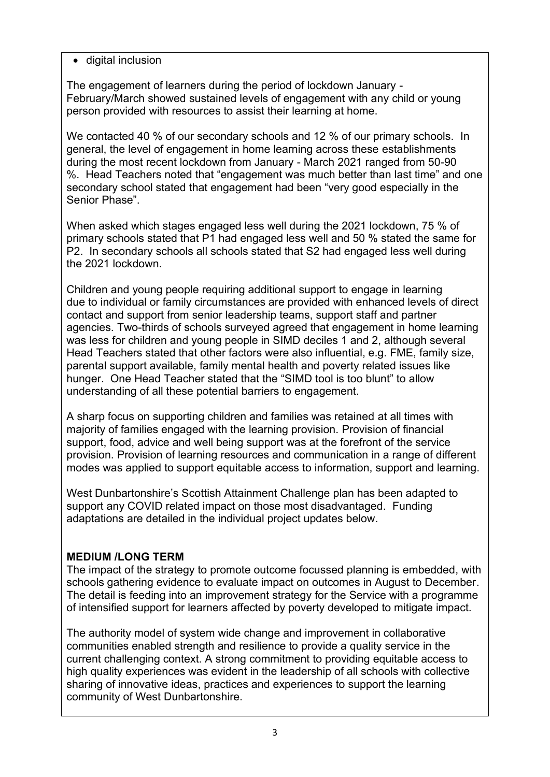• digital inclusion

The engagement of learners during the period of lockdown January - February/March showed sustained levels of engagement with any child or young person provided with resources to assist their learning at home.

We contacted 40 % of our secondary schools and 12 % of our primary schools. In general, the level of engagement in home learning across these establishments during the most recent lockdown from January - March 2021 ranged from 50-90 %. Head Teachers noted that "engagement was much better than last time" and one secondary school stated that engagement had been "very good especially in the Senior Phase".

When asked which stages engaged less well during the 2021 lockdown, 75 % of primary schools stated that P1 had engaged less well and 50 % stated the same for P2. In secondary schools all schools stated that S2 had engaged less well during the 2021 lockdown.

Children and young people requiring additional support to engage in learning due to individual or family circumstances are provided with enhanced levels of direct contact and support from senior leadership teams, support staff and partner agencies. Two-thirds of schools surveyed agreed that engagement in home learning was less for children and young people in SIMD deciles 1 and 2, although several Head Teachers stated that other factors were also influential, e.g. FME, family size, parental support available, family mental health and poverty related issues like hunger. One Head Teacher stated that the "SIMD tool is too blunt" to allow understanding of all these potential barriers to engagement.

A sharp focus on supporting children and families was retained at all times with majority of families engaged with the learning provision. Provision of financial support, food, advice and well being support was at the forefront of the service provision. Provision of learning resources and communication in a range of different modes was applied to support equitable access to information, support and learning.

West Dunbartonshire's Scottish Attainment Challenge plan has been adapted to support any COVID related impact on those most disadvantaged. Funding adaptations are detailed in the individual project updates below.

# **MEDIUM /LONG TERM**

The impact of the strategy to promote outcome focussed planning is embedded, with schools gathering evidence to evaluate impact on outcomes in August to December. The detail is feeding into an improvement strategy for the Service with a programme of intensified support for learners affected by poverty developed to mitigate impact.

The authority model of system wide change and improvement in collaborative communities enabled strength and resilience to provide a quality service in the current challenging context. A strong commitment to providing equitable access to high quality experiences was evident in the leadership of all schools with collective sharing of innovative ideas, practices and experiences to support the learning community of West Dunbartonshire.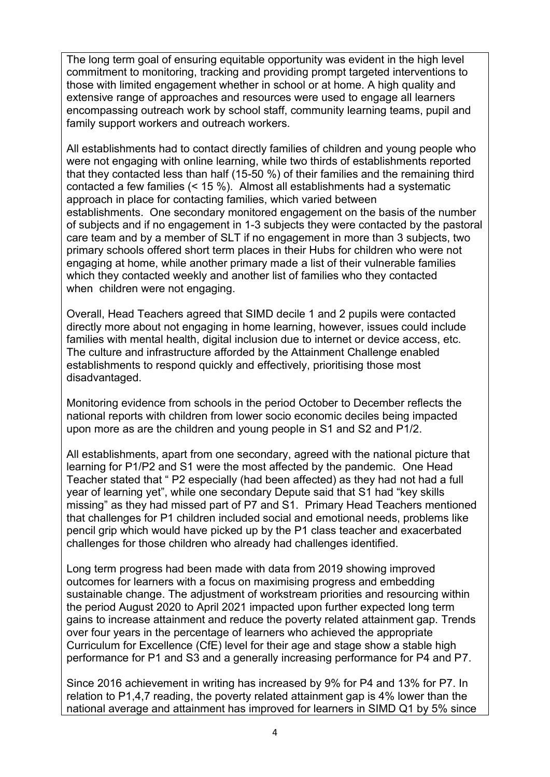The long term goal of ensuring equitable opportunity was evident in the high level commitment to monitoring, tracking and providing prompt targeted interventions to those with limited engagement whether in school or at home. A high quality and extensive range of approaches and resources were used to engage all learners encompassing outreach work by school staff, community learning teams, pupil and family support workers and outreach workers.

All establishments had to contact directly families of children and young people who were not engaging with online learning, while two thirds of establishments reported that they contacted less than half (15-50 %) of their families and the remaining third contacted a few families (< 15 %). Almost all establishments had a systematic approach in place for contacting families, which varied between establishments. One secondary monitored engagement on the basis of the number of subjects and if no engagement in 1-3 subjects they were contacted by the pastoral care team and by a member of SLT if no engagement in more than 3 subjects, two primary schools offered short term places in their Hubs for children who were not engaging at home, while another primary made a list of their vulnerable families which they contacted weekly and another list of families who they contacted when children were not engaging.

Overall, Head Teachers agreed that SIMD decile 1 and 2 pupils were contacted directly more about not engaging in home learning, however, issues could include families with mental health, digital inclusion due to internet or device access, etc. The culture and infrastructure afforded by the Attainment Challenge enabled establishments to respond quickly and effectively, prioritising those most disadvantaged.

Monitoring evidence from schools in the period October to December reflects the national reports with children from lower socio economic deciles being impacted upon more as are the children and young people in S1 and S2 and P1/2.

All establishments, apart from one secondary, agreed with the national picture that learning for P1/P2 and S1 were the most affected by the pandemic. One Head Teacher stated that " P2 especially (had been affected) as they had not had a full year of learning yet", while one secondary Depute said that S1 had "key skills missing" as they had missed part of P7 and S1. Primary Head Teachers mentioned that challenges for P1 children included social and emotional needs, problems like pencil grip which would have picked up by the P1 class teacher and exacerbated challenges for those children who already had challenges identified.

Long term progress had been made with data from 2019 showing improved outcomes for learners with a focus on maximising progress and embedding sustainable change. The adjustment of workstream priorities and resourcing within the period August 2020 to April 2021 impacted upon further expected long term gains to increase attainment and reduce the poverty related attainment gap. Trends over four years in the percentage of learners who achieved the appropriate Curriculum for Excellence (CfE) level for their age and stage show a stable high performance for P1 and S3 and a generally increasing performance for P4 and P7.

Since 2016 achievement in writing has increased by 9% for P4 and 13% for P7. In relation to P1,4,7 reading, the poverty related attainment gap is 4% lower than the national average and attainment has improved for learners in SIMD Q1 by 5% since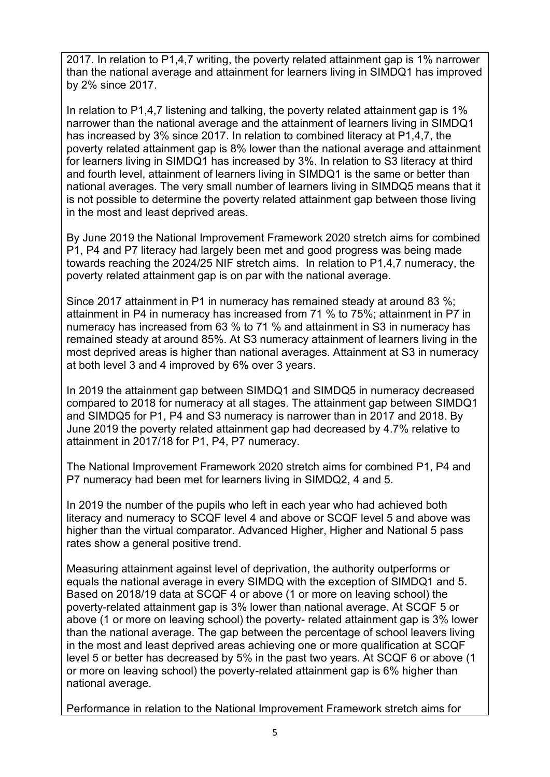2017. In relation to P1,4,7 writing, the poverty related attainment gap is 1% narrower than the national average and attainment for learners living in SIMDQ1 has improved by 2% since 2017.

In relation to P1,4,7 listening and talking, the poverty related attainment gap is 1% narrower than the national average and the attainment of learners living in SIMDQ1 has increased by 3% since 2017. In relation to combined literacy at P1,4,7, the poverty related attainment gap is 8% lower than the national average and attainment for learners living in SIMDQ1 has increased by 3%. In relation to S3 literacy at third and fourth level, attainment of learners living in SIMDQ1 is the same or better than national averages. The very small number of learners living in SIMDQ5 means that it is not possible to determine the poverty related attainment gap between those living in the most and least deprived areas.

By June 2019 the National Improvement Framework 2020 stretch aims for combined P1, P4 and P7 literacy had largely been met and good progress was being made towards reaching the 2024/25 NIF stretch aims. In relation to P1,4,7 numeracy, the poverty related attainment gap is on par with the national average.

Since 2017 attainment in P1 in numeracy has remained steady at around 83 %; attainment in P4 in numeracy has increased from 71 % to 75%; attainment in P7 in numeracy has increased from 63 % to 71 % and attainment in S3 in numeracy has remained steady at around 85%. At S3 numeracy attainment of learners living in the most deprived areas is higher than national averages. Attainment at S3 in numeracy at both level 3 and 4 improved by 6% over 3 years.

In 2019 the attainment gap between SIMDQ1 and SIMDQ5 in numeracy decreased compared to 2018 for numeracy at all stages. The attainment gap between SIMDQ1 and SIMDQ5 for P1, P4 and S3 numeracy is narrower than in 2017 and 2018. By June 2019 the poverty related attainment gap had decreased by 4.7% relative to attainment in 2017/18 for P1, P4, P7 numeracy.

The National Improvement Framework 2020 stretch aims for combined P1, P4 and P7 numeracy had been met for learners living in SIMDQ2, 4 and 5.

In 2019 the number of the pupils who left in each year who had achieved both literacy and numeracy to SCQF level 4 and above or SCQF level 5 and above was higher than the virtual comparator. Advanced Higher, Higher and National 5 pass rates show a general positive trend.

Measuring attainment against level of deprivation, the authority outperforms or equals the national average in every SIMDQ with the exception of SIMDQ1 and 5. Based on 2018/19 data at SCQF 4 or above (1 or more on leaving school) the poverty-related attainment gap is 3% lower than national average. At SCQF 5 or above (1 or more on leaving school) the poverty- related attainment gap is 3% lower than the national average. The gap between the percentage of school leavers living in the most and least deprived areas achieving one or more qualification at SCQF level 5 or better has decreased by 5% in the past two years. At SCQF 6 or above (1 or more on leaving school) the poverty-related attainment gap is 6% higher than national average.

Performance in relation to the National Improvement Framework stretch aims for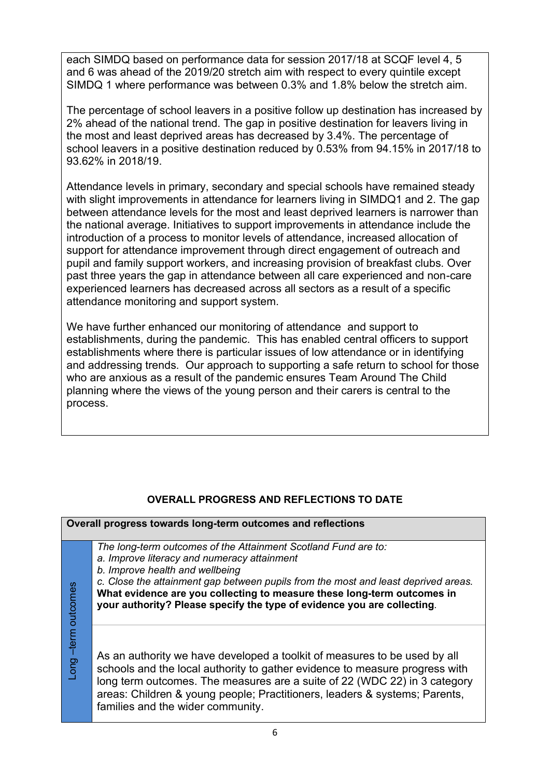each SIMDQ based on performance data for session 2017/18 at SCQF level 4, 5 and 6 was ahead of the 2019/20 stretch aim with respect to every quintile except SIMDQ 1 where performance was between 0.3% and 1.8% below the stretch aim.

The percentage of school leavers in a positive follow up destination has increased by 2% ahead of the national trend. The gap in positive destination for leavers living in the most and least deprived areas has decreased by 3.4%. The percentage of school leavers in a positive destination reduced by 0.53% from 94.15% in 2017/18 to 93.62% in 2018/19.

Attendance levels in primary, secondary and special schools have remained steady with slight improvements in attendance for learners living in SIMDQ1 and 2. The gap between attendance levels for the most and least deprived learners is narrower than the national average. Initiatives to support improvements in attendance include the introduction of a process to monitor levels of attendance, increased allocation of support for attendance improvement through direct engagement of outreach and pupil and family support workers, and increasing provision of breakfast clubs. Over past three years the gap in attendance between all care experienced and non-care experienced learners has decreased across all sectors as a result of a specific attendance monitoring and support system.

We have further enhanced our monitoring of attendance and support to establishments, during the pandemic. This has enabled central officers to support establishments where there is particular issues of low attendance or in identifying and addressing trends. Our approach to supporting a safe return to school for those who are anxious as a result of the pandemic ensures Team Around The Child planning where the views of the young person and their carers is central to the process.

## **OVERALL PROGRESS AND REFLECTIONS TO DATE**

| Overall progress towards long-term outcomes and reflections |                                                                                                                                                                                                                                                                                                                                                                                              |  |
|-------------------------------------------------------------|----------------------------------------------------------------------------------------------------------------------------------------------------------------------------------------------------------------------------------------------------------------------------------------------------------------------------------------------------------------------------------------------|--|
|                                                             | The long-term outcomes of the Attainment Scotland Fund are to:<br>a. Improve literacy and numeracy attainment<br>b. Improve health and wellbeing<br>c. Close the attainment gap between pupils from the most and least deprived areas.<br>What evidence are you collecting to measure these long-term outcomes in<br>your authority? Please specify the type of evidence you are collecting. |  |
| Long –term outcomes                                         | As an authority we have developed a toolkit of measures to be used by all<br>schools and the local authority to gather evidence to measure progress with<br>long term outcomes. The measures are a suite of 22 (WDC 22) in 3 category<br>areas: Children & young people; Practitioners, leaders & systems; Parents,<br>families and the wider community.                                     |  |

6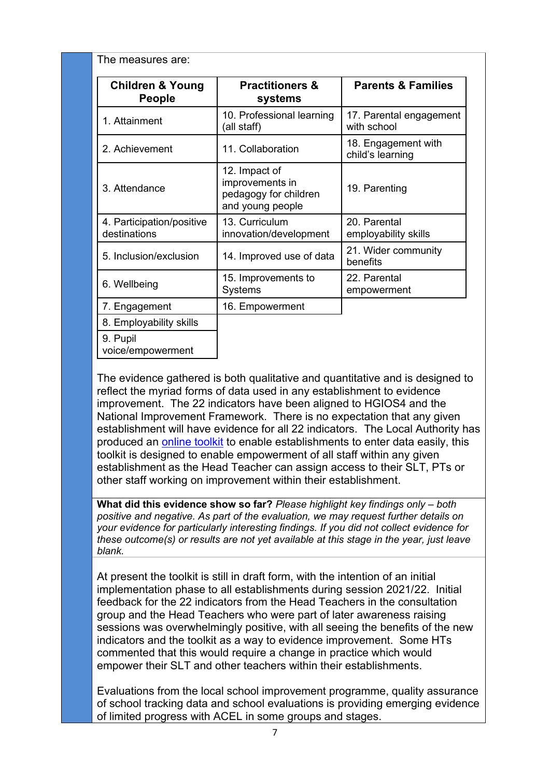| The measures are:                            |                                                                               |                                         |  |  |
|----------------------------------------------|-------------------------------------------------------------------------------|-----------------------------------------|--|--|
| <b>Children &amp; Young</b><br><b>People</b> | <b>Practitioners &amp;</b><br>systems                                         | <b>Parents &amp; Families</b>           |  |  |
| 1. Attainment                                | 10. Professional learning<br>(all staff)                                      | 17. Parental engagement<br>with school  |  |  |
| 2. Achievement                               | 11. Collaboration                                                             | 18. Engagement with<br>child's learning |  |  |
| 3. Attendance                                | 12. Impact of<br>improvements in<br>pedagogy for children<br>and young people | 19. Parenting                           |  |  |
| 4. Participation/positive<br>destinations    | 13. Curriculum<br>innovation/development                                      | 20. Parental<br>employability skills    |  |  |
| 5. Inclusion/exclusion                       | 14. Improved use of data                                                      | 21. Wider community<br>benefits         |  |  |
| 6. Wellbeing                                 | 15. Improvements to<br><b>Systems</b>                                         | 22. Parental<br>empowerment             |  |  |
| 7. Engagement                                | 16. Empowerment                                                               |                                         |  |  |
| 8. Employability skills                      |                                                                               |                                         |  |  |
| 9. Pupil<br>voice/empowerment                |                                                                               |                                         |  |  |

The evidence gathered is both qualitative and quantitative and is designed to reflect the myriad forms of data used in any establishment to evidence improvement. The 22 indicators have been aligned to HGIOS4 and the National Improvement Framework. There is no expectation that any given establishment will have evidence for all 22 indicators. The Local Authority has produced an [online toolkit](https://forms.gle/2GDLjApj76m6CLUb8) to enable establishments to enter data easily, this toolkit is designed to enable empowerment of all staff within any given establishment as the Head Teacher can assign access to their SLT, PTs or other staff working on improvement within their establishment.

**What did this evidence show so far?** Please highlight key findings only – both *positive and negative. As part of the evaluation, we may request further details on your evidence for particularly interesting findings. If you did not collect evidence for these outcome(s) or results are not yet available at this stage in the year, just leave blank.* 

At present the toolkit is still in draft form, with the intention of an initial implementation phase to all establishments during session 2021/22. Initial feedback for the 22 indicators from the Head Teachers in the consultation group and the Head Teachers who were part of later awareness raising sessions was overwhelmingly positive, with all seeing the benefits of the new indicators and the toolkit as a way to evidence improvement. Some HTs commented that this would require a change in practice which would empower their SLT and other teachers within their establishments.

Evaluations from the local school improvement programme, quality assurance of school tracking data and school evaluations is providing emerging evidence of limited progress with ACEL in some groups and stages.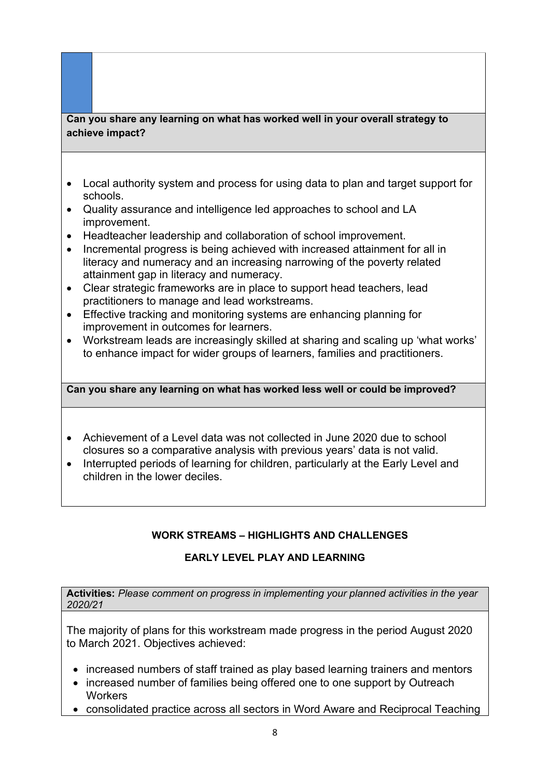## **Can you share any learning on what has worked well in your overall strategy to achieve impact?**

- Local authority system and process for using data to plan and target support for schools.
- Quality assurance and intelligence led approaches to school and LA improvement.
- Headteacher leadership and collaboration of school improvement.
- Incremental progress is being achieved with increased attainment for all in literacy and numeracy and an increasing narrowing of the poverty related attainment gap in literacy and numeracy.
- Clear strategic frameworks are in place to support head teachers, lead practitioners to manage and lead workstreams.
- Effective tracking and monitoring systems are enhancing planning for improvement in outcomes for learners.
- Workstream leads are increasingly skilled at sharing and scaling up 'what works' to enhance impact for wider groups of learners, families and practitioners.

#### **Can you share any learning on what has worked less well or could be improved?**

- Achievement of a Level data was not collected in June 2020 due to school closures so a comparative analysis with previous years' data is not valid.
- Interrupted periods of learning for children, particularly at the Early Level and children in the lower deciles.

## **WORK STREAMS – HIGHLIGHTS AND CHALLENGES**

# **EARLY LEVEL PLAY AND LEARNING**

**Activities:** *Please comment on progress in implementing your planned activities in the year 2020/21*

The majority of plans for this workstream made progress in the period August 2020 to March 2021. Objectives achieved:

- increased numbers of staff trained as play based learning trainers and mentors
- increased number of families being offered one to one support by Outreach **Workers**
- consolidated practice across all sectors in Word Aware and Reciprocal Teaching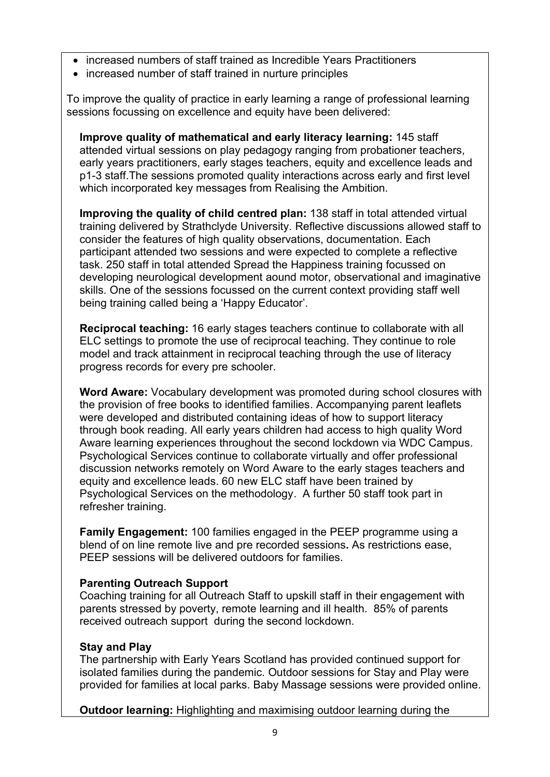- increased numbers of staff trained as Incredible Years Practitioners
- increased number of staff trained in nurture principles

To improve the quality of practice in early learning a range of professional learning sessions focussing on excellence and equity have been delivered:

**Improve quality of mathematical and early literacy learning:** 145 staff attended virtual sessions on play pedagogy ranging from probationer teachers, early years practitioners, early stages teachers, equity and excellence leads and p1-3 staff.The sessions promoted quality interactions across early and first level which incorporated key messages from Realising the Ambition.

**Improving the quality of child centred plan:** 138 staff in total attended virtual training delivered by Strathclyde University. Reflective discussions allowed staff to consider the features of high quality observations, documentation. Each participant attended two sessions and were expected to complete a reflective task. 250 staff in total attended Spread the Happiness training focussed on developing neurological development aound motor, observational and imaginative skills. One of the sessions focussed on the current context providing staff well being training called being a 'Happy Educator'.

**Reciprocal teaching:** 16 early stages teachers continue to collaborate with all ELC settings to promote the use of reciprocal teaching. They continue to role model and track attainment in reciprocal teaching through the use of literacy progress records for every pre schooler.

**Word Aware:** Vocabulary development was promoted during school closures with the provision of free books to identified families. Accompanying parent leaflets were developed and distributed containing ideas of how to support literacy through book reading. All early years children had access to high quality Word Aware learning experiences throughout the second lockdown via WDC Campus. Psychological Services continue to collaborate virtually and offer professional discussion networks remotely on Word Aware to the early stages teachers and equity and excellence leads. 60 new ELC staff have been trained by Psychological Services on the methodology. A further 50 staff took part in refresher training.

**Family Engagement:** 100 families engaged in the PEEP programme using a blend of on line remote live and pre recorded sessions**.** As restrictions ease, PEEP sessions will be delivered outdoors for families.

#### **Parenting Outreach Support**

Coaching training for all Outreach Staff to upskill staff in their engagement with parents stressed by poverty, remote learning and ill health. 85% of parents received outreach support during the second lockdown.

#### **Stay and Play**

The partnership with Early Years Scotland has provided continued support for isolated families during the pandemic. Outdoor sessions for Stay and Play were provided for families at local parks. Baby Massage sessions were provided online.

**Outdoor learning:** Highlighting and maximising outdoor learning during the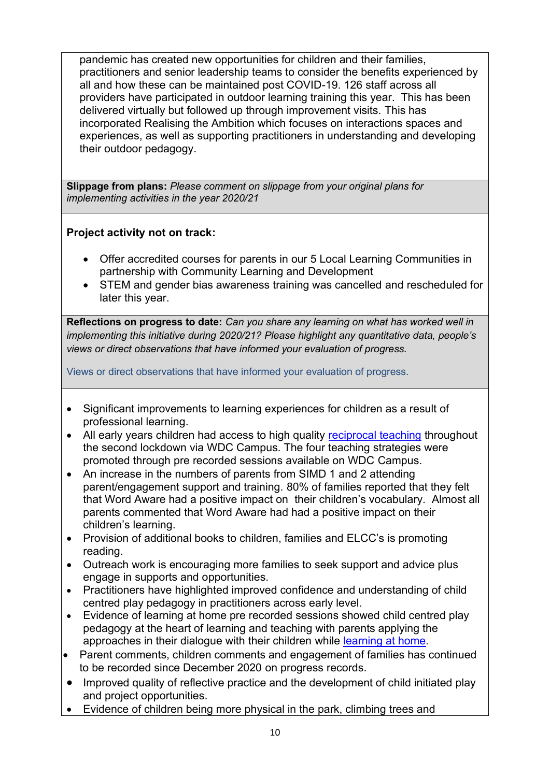pandemic has created new opportunities for children and their families, practitioners and senior leadership teams to consider the benefits experienced by all and how these can be maintained post COVID-19. 126 staff across all providers have participated in outdoor learning training this year. This has been delivered virtually but followed up through improvement visits. This has incorporated Realising the Ambition which focuses on interactions spaces and experiences, as well as supporting practitioners in understanding and developing their outdoor pedagogy.

**Slippage from plans:** *Please comment on slippage from your original plans for implementing activities in the year 2020/21*

## **Project activity not on track:**

- Offer accredited courses for parents in our 5 Local Learning Communities in partnership with Community Learning and Development
- STEM and gender bias awareness training was cancelled and rescheduled for later this year.

**Reflections on progress to date:** *Can you share any learning on what has worked well in implementing this initiative during 2020/21? Please highlight any quantitative data, people's views or direct observations that have informed your evaluation of progress.*

Views or direct observations that have informed your evaluation of progress.

- Significant improvements to learning experiences for children as a result of professional learning.
- All early years children had access to high quality [reciprocal teaching](https://sites.google.com/ourcloud.buzz/wdcvirtualschool/elc/elc-project-3?authuser=0) throughout the second lockdown via WDC Campus. The four teaching strategies were promoted through pre recorded sessions available on WDC Campus.
- An increase in the numbers of parents from SIMD 1 and 2 attending parent/engagement support and training. 80% of families reported that they felt that Word Aware had a positive impact on their children's vocabulary. Almost all parents commented that Word Aware had had a positive impact on their children's learning.
- Provision of additional books to children, families and ELCC's is promoting reading.
- Outreach work is encouraging more families to seek support and advice plus engage in supports and opportunities.
- Practitioners have highlighted improved confidence and understanding of child centred play pedagogy in practitioners across early level.
- Evidence of learning at home pre recorded sessions showed child centred play pedagogy at the heart of learning and teaching with parents applying the approaches in their dialogue with their children while [learning at home](https://drive.google.com/drive/folders/1QwpTkE0lCPWB_4Web_KsoeIqUfldeInU).
- Parent comments, children comments and engagement of families has continued to be recorded since December 2020 on progress records.
- Improved quality of reflective practice and the development of child initiated play and project opportunities.
- Evidence of children being more physical in the park, climbing trees and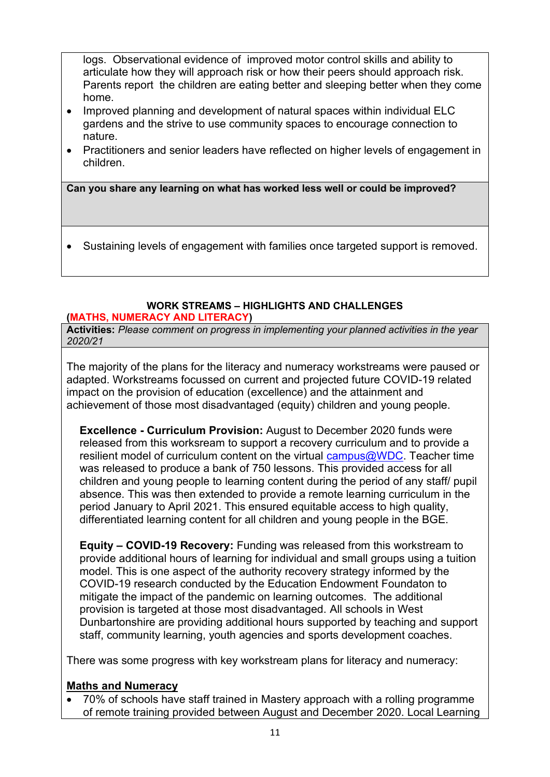logs. Observational evidence of improved motor control skills and ability to articulate how they will approach risk or how their peers should approach risk. Parents report the children are eating better and sleeping better when they come home.

- Improved planning and development of natural spaces within individual ELC gardens and the strive to use community spaces to encourage connection to nature.
- Practitioners and senior leaders have reflected on higher levels of engagement in children.

**Can you share any learning on what has worked less well or could be improved?** 

• Sustaining levels of engagement with families once targeted support is removed.

# **WORK STREAMS – HIGHLIGHTS AND CHALLENGES**

**(MATHS, NUMERACY AND LITERACY)** 

**Activities:** *Please comment on progress in implementing your planned activities in the year 2020/21*

The majority of the plans for the literacy and numeracy workstreams were paused or adapted. Workstreams focussed on current and projected future COVID-19 related impact on the provision of education (excellence) and the attainment and achievement of those most disadvantaged (equity) children and young people.

**Excellence - Curriculum Provision:** August to December 2020 funds were released from this worksream to support a recovery curriculum and to provide a resilient model of curriculum content on the virtual  $campus@WDC$ . Teacher time was released to produce a bank of 750 lessons. This provided access for all children and young people to learning content during the period of any staff/ pupil absence. This was then extended to provide a remote learning curriculum in the period January to April 2021. This ensured equitable access to high quality, differentiated learning content for all children and young people in the BGE.

**Equity – COVID-19 Recovery:** Funding was released from this workstream to provide additional hours of learning for individual and small groups using a tuition model. This is one aspect of the authority recovery strategy informed by the COVID-19 research conducted by the Education Endowment Foundaton to mitigate the impact of the pandemic on learning outcomes. The additional provision is targeted at those most disadvantaged. All schools in West Dunbartonshire are providing additional hours supported by teaching and support staff, community learning, youth agencies and sports development coaches.

There was some progress with key workstream plans for literacy and numeracy:

## **Maths and Numeracy**

• 70% of schools have staff trained in Mastery approach with a rolling programme of remote training provided between August and December 2020. Local Learning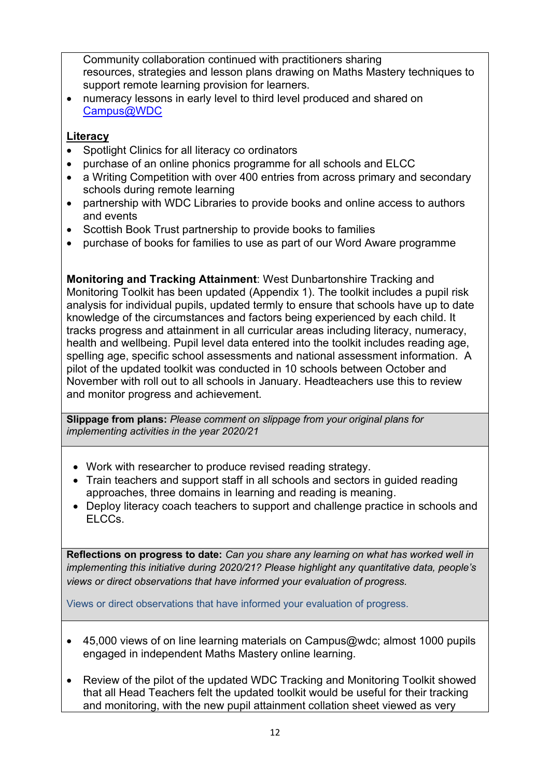Community collaboration continued with practitioners sharing resources, strategies and lesson plans drawing on Maths Mastery techniques to support remote learning provision for learners.

• numeracy lessons in early level to third level produced and shared on [Campus@WDC](https://emea01.safelinks.protection.outlook.com/?url=https%3A%2F%2Fsites.google.com%2Fourcloud.buzz%2Fwdcvirtualschool%2Fhome&data=04%7C01%7C%7Cd66ac4d8019244a73d8608d90984edd3%7C84df9e7fe9f640afb435aaaaaaaaaaaa%7C1%7C0%7C637551288812367325%7CUnknown%7CTWFpbGZsb3d8eyJWIjoiMC4wLjAwMDAiLCJQIjoiV2luMzIiLCJBTiI6Ik1haWwiLCJXVCI6Mn0%3D%7C1000&sdata=1E1OepY%2BudcA%2FglCifDbCtQbSibof5EQy60WQCstusA%3D&reserved=0) 

# **Literacy**

- Spotlight Clinics for all literacy co ordinators
- purchase of an online phonics programme for all schools and ELCC
- a Writing Competition with over 400 entries from across primary and secondary schools during remote learning
- partnership with WDC Libraries to provide books and online access to authors and events
- Scottish Book Trust partnership to provide books to families
- purchase of books for families to use as part of our Word Aware programme

**Monitoring and Tracking Attainment**: West Dunbartonshire Tracking and Monitoring Toolkit has been updated (Appendix 1). The toolkit includes a pupil risk analysis for individual pupils, updated termly to ensure that schools have up to date knowledge of the circumstances and factors being experienced by each child. It tracks progress and attainment in all curricular areas including literacy, numeracy, health and wellbeing. Pupil level data entered into the toolkit includes reading age, spelling age, specific school assessments and national assessment information. A pilot of the updated toolkit was conducted in 10 schools between October and November with roll out to all schools in January. Headteachers use this to review and monitor progress and achievement.

**Slippage from plans:** *Please comment on slippage from your original plans for implementing activities in the year 2020/21*

- Work with researcher to produce revised reading strategy.
- Train teachers and support staff in all schools and sectors in guided reading approaches, three domains in learning and reading is meaning.
- Deploy literacy coach teachers to support and challenge practice in schools and ELCCs.

**Reflections on progress to date:** *Can you share any learning on what has worked well in implementing this initiative during 2020/21? Please highlight any quantitative data, people's views or direct observations that have informed your evaluation of progress.*

Views or direct observations that have informed your evaluation of progress.

- 45,000 views of on line learning materials on Campus@wdc; almost 1000 pupils engaged in independent Maths Mastery online learning.
- Review of the pilot of the updated WDC Tracking and Monitoring Toolkit showed that all Head Teachers felt the updated toolkit would be useful for their tracking and monitoring, with the new pupil attainment collation sheet viewed as very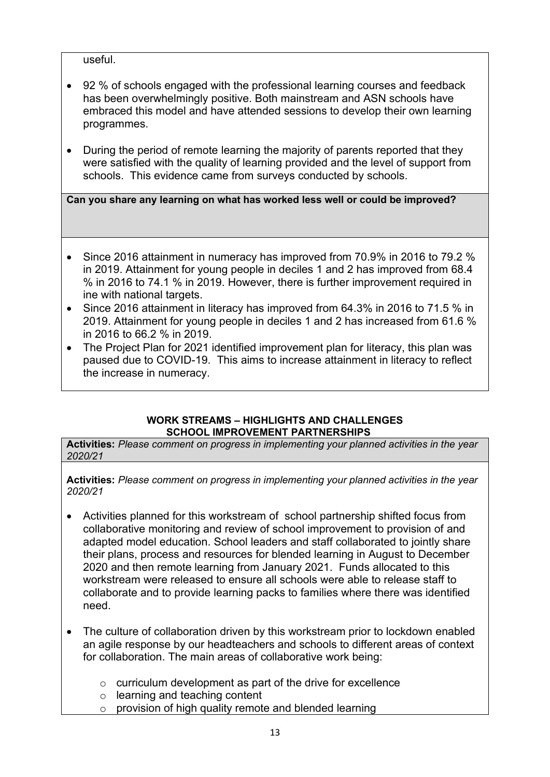useful.

- 92 % of schools engaged with the professional learning courses and feedback has been overwhelmingly positive. Both mainstream and ASN schools have embraced this model and have attended sessions to develop their own learning programmes.
- During the period of remote learning the majority of parents reported that they were satisfied with the quality of learning provided and the level of support from schools. This evidence came from surveys conducted by schools.

**Can you share any learning on what has worked less well or could be improved?** 

- Since 2016 attainment in numeracy has improved from 70.9% in 2016 to 79.2 % in 2019. Attainment for young people in deciles 1 and 2 has improved from 68.4 % in 2016 to 74.1 % in 2019. However, there is further improvement required in ine with national targets.
- Since 2016 attainment in literacy has improved from 64.3% in 2016 to 71.5 % in 2019. Attainment for young people in deciles 1 and 2 has increased from 61.6 % in 2016 to 66.2 % in 2019.
- The Project Plan for 2021 identified improvement plan for literacy, this plan was paused due to COVID-19. This aims to increase attainment in literacy to reflect the increase in numeracy.

#### **WORK STREAMS – HIGHLIGHTS AND CHALLENGES SCHOOL IMPROVEMENT PARTNERSHIPS**

**Activities:** *Please comment on progress in implementing your planned activities in the year 2020/21*

**Activities:** *Please comment on progress in implementing your planned activities in the year 2020/21* 

- Activities planned for this workstream of school partnership shifted focus from collaborative monitoring and review of school improvement to provision of and adapted model education. School leaders and staff collaborated to jointly share their plans, process and resources for blended learning in August to December 2020 and then remote learning from January 2021. Funds allocated to this workstream were released to ensure all schools were able to release staff to collaborate and to provide learning packs to families where there was identified need.
- The culture of collaboration driven by this workstream prior to lockdown enabled an agile response by our headteachers and schools to different areas of context for collaboration. The main areas of collaborative work being:
	- o curriculum development as part of the drive for excellence
	- o learning and teaching content
	- o provision of high quality remote and blended learning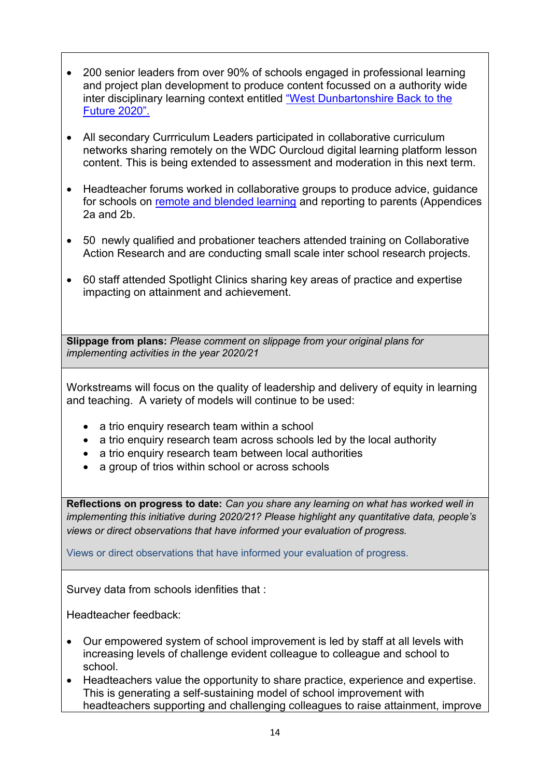- 200 senior leaders from over 90% of schools engaged in professional learning and project plan development to produce content focussed on a authority wide inter disciplinary learning context entitled "West Dunba[rtonshire Back to the](https://youtu.be/Y0fijYHNl24)  [Future 2020".](https://youtu.be/Y0fijYHNl24)
- All secondary Currriculum Leaders participated in collaborative curriculum networks sharing remotely on the WDC Ourcloud digital learning platform lesson content. This is being extended to assessment and moderation in this next term.
- Headteacher forums worked in collaborative groups to produce advice, guidance for schools on [remote and blended learning](https://intranet.west-dunbarton.gov.uk/media/17117/wdc-remote-learning-policy-pp95.docx) and reporting to parents (Appendices 2a and 2b.
- 50 newly qualified and probationer teachers attended training on Collaborative Action Research and are conducting small scale inter school research projects.
- 60 staff attended Spotlight Clinics sharing key areas of practice and expertise impacting on attainment and achievement.

**Slippage from plans:** *Please comment on slippage from your original plans for implementing activities in the year 2020/21*

Workstreams will focus on the quality of leadership and delivery of equity in learning and teaching. A variety of models will continue to be used:

- a trio enquiry research team within a school
- a trio enquiry research team across schools led by the local authority
- a trio enquiry research team between local authorities
- a group of trios within school or across schools

**Reflections on progress to date:** *Can you share any learning on what has worked well in implementing this initiative during 2020/21? Please highlight any quantitative data, people's views or direct observations that have informed your evaluation of progress.*

Views or direct observations that have informed your evaluation of progress.

Survey data from schools idenfities that :

Headteacher feedback:

- Our empowered system of school improvement is led by staff at all levels with increasing levels of challenge evident colleague to colleague and school to school.
- Headteachers value the opportunity to share practice, experience and expertise. This is generating a self-sustaining model of school improvement with headteachers supporting and challenging colleagues to raise attainment, improve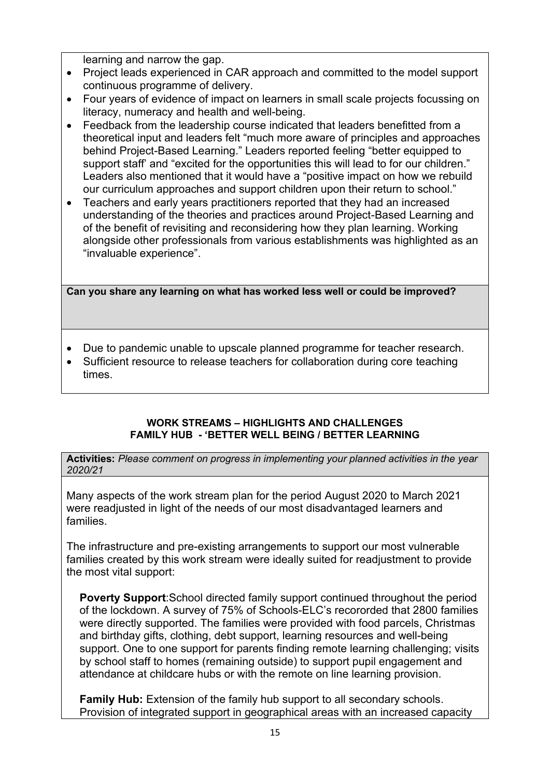learning and narrow the gap.

- Project leads experienced in CAR approach and committed to the model support continuous programme of delivery.
- Four years of evidence of impact on learners in small scale projects focussing on literacy, numeracy and health and well-being.
- Feedback from the leadership course indicated that leaders benefitted from a theoretical input and leaders felt "much more aware of principles and approaches behind Project-Based Learning." Leaders reported feeling "better equipped to support staff' and "excited for the opportunities this will lead to for our children." Leaders also mentioned that it would have a "positive impact on how we rebuild our curriculum approaches and support children upon their return to school."
- Teachers and early years practitioners reported that they had an increased understanding of the theories and practices around Project-Based Learning and of the benefit of revisiting and reconsidering how they plan learning. Working alongside other professionals from various establishments was highlighted as an "invaluable experience".

**Can you share any learning on what has worked less well or could be improved?** 

- Due to pandemic unable to upscale planned programme for teacher research.
- Sufficient resource to release teachers for collaboration during core teaching times.

#### **WORK STREAMS – HIGHLIGHTS AND CHALLENGES FAMILY HUB - 'BETTER WELL BEING / BETTER LEARNING**

**Activities:** *Please comment on progress in implementing your planned activities in the year 2020/21*

Many aspects of the work stream plan for the period August 2020 to March 2021 were readjusted in light of the needs of our most disadvantaged learners and families.

The infrastructure and pre-existing arrangements to support our most vulnerable families created by this work stream were ideally suited for readjustment to provide the most vital support:

**Poverty Support**:School directed family support continued throughout the period of the lockdown. A survey of 75% of Schools-ELC's recororded that 2800 families were directly supported. The families were provided with food parcels, Christmas and birthday gifts, clothing, debt support, learning resources and well-being support. One to one support for parents finding remote learning challenging; visits by school staff to homes (remaining outside) to support pupil engagement and attendance at childcare hubs or with the remote on line learning provision.

**Family Hub:** Extension of the family hub support to all secondary schools. Provision of integrated support in geographical areas with an increased capacity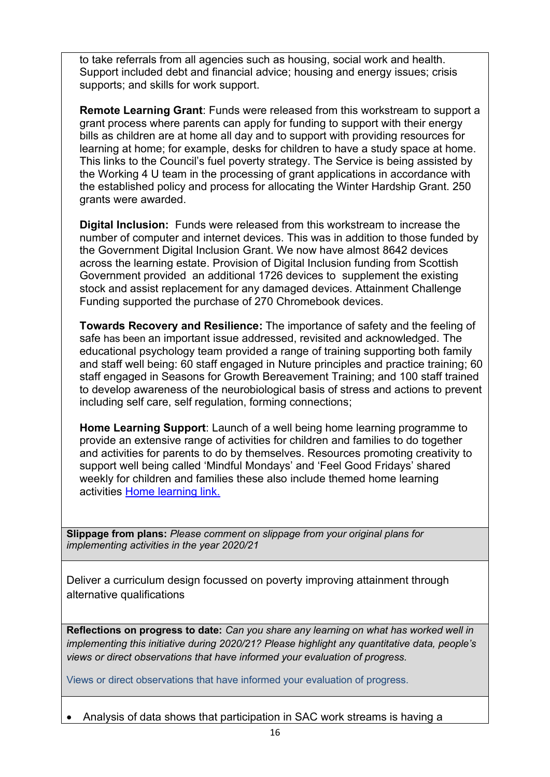to take referrals from all agencies such as housing, social work and health. Support included debt and financial advice; housing and energy issues; crisis supports; and skills for work support.

**Remote Learning Grant**: Funds were released from this workstream to support a grant process where parents can apply for funding to support with their energy bills as children are at home all day and to support with providing resources for learning at home; for example, desks for children to have a study space at home. This links to the Council's fuel poverty strategy. The Service is being assisted by the Working 4 U team in the processing of grant applications in accordance with the established policy and process for allocating the Winter Hardship Grant. 250 grants were awarded.

**Digital Inclusion:** Funds were released from this workstream to increase the number of computer and internet devices. This was in addition to those funded by the Government Digital Inclusion Grant. We now have almost 8642 devices across the learning estate. Provision of Digital Inclusion funding from Scottish Government provided an additional 1726 devices to supplement the existing stock and assist replacement for any damaged devices. Attainment Challenge Funding supported the purchase of 270 Chromebook devices.

**Towards Recovery and Resilience:** The importance of safety and the feeling of safe has been an important issue addressed, revisited and acknowledged. The educational psychology team provided a range of training supporting both family and staff well being: 60 staff engaged in Nuture principles and practice training; 60 staff engaged in Seasons for Growth Bereavement Training; and 100 staff trained to develop awareness of the neurobiological basis of stress and actions to prevent including self care, self regulation, forming connections;

**Home Learning Support**: Launch of a well being home learning programme to provide an extensive range of activities for children and families to do together and activities for parents to do by themselves. Resources promoting creativity to support well being called 'Mindful Mondays' and 'Feel Good Fridays' shared weekly for children and families these also include themed home learning activities [Home learning link.](http://tinyurl.com/3jpzn675)

**Slippage from plans:** *Please comment on slippage from your original plans for implementing activities in the year 2020/21*

Deliver a curriculum design focussed on poverty improving attainment through alternative qualifications

**Reflections on progress to date:** *Can you share any learning on what has worked well in implementing this initiative during 2020/21? Please highlight any quantitative data, people's views or direct observations that have informed your evaluation of progress.*

Views or direct observations that have informed your evaluation of progress.

• Analysis of data shows that participation in SAC work streams is having a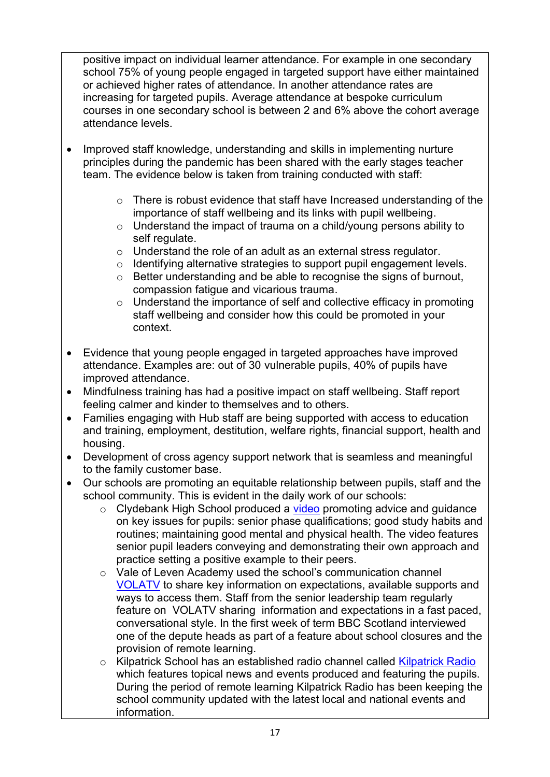positive impact on individual learner attendance. For example in one secondary school 75% of young people engaged in targeted support have either maintained or achieved higher rates of attendance. In another attendance rates are increasing for targeted pupils. Average attendance at bespoke curriculum courses in one secondary school is between 2 and 6% above the cohort average attendance levels.

- Improved staff knowledge, understanding and skills in implementing nurture principles during the pandemic has been shared with the early stages teacher team. The evidence below is taken from training conducted with staff:
	- o There is robust evidence that staff have Increased understanding of the importance of staff wellbeing and its links with pupil wellbeing.
	- o Understand the impact of trauma on a child/young persons ability to self regulate.
	- o Understand the role of an adult as an external stress regulator.
	- o Identifying alternative strategies to support pupil engagement levels.
	- o Better understanding and be able to recognise the signs of burnout, compassion fatigue and vicarious trauma.
	- o Understand the importance of self and collective efficacy in promoting staff wellbeing and consider how this could be promoted in your context.
- Evidence that young people engaged in targeted approaches have improved attendance. Examples are: out of 30 vulnerable pupils, 40% of pupils have improved attendance.
- Mindfulness training has had a positive impact on staff wellbeing. Staff report feeling calmer and kinder to themselves and to others.
- Families engaging with Hub staff are being supported with access to education and training, employment, destitution, welfare rights, financial support, health and housing.
- Development of cross agency support network that is seamless and meaningful to the family customer base.
- Our schools are promoting an equitable relationship between pupils, staff and the school community. This is evident in the daily work of our schools:
	- $\circ$  Clydebank High School produced a [video](https://youtu.be/zcFFPp4fUYg) promoting advice and guidance on key issues for pupils: senior phase qualifications; good study habits and routines; maintaining good mental and physical health. The video features senior pupil leaders conveying and demonstrating their own approach and practice setting a positive example to their peers.
	- o Vale of Leven Academy used the school's communication channel [VOLATV](https://www.youtube.com/channel/UCiLakLogTrgqH-9I1fBG-Bg) to share key information on expectations, available supports and ways to access them. Staff from the senior leadership team regularly feature on VOLATV sharing information and expectations in a fast paced, conversational style. In the first week of term BBC Scotland interviewed one of the depute heads as part of a feature about school closures and the provision of remote learning.
	- o Kilpatrick School has an established radio channel called [Kilpatrick Radio](https://soundcloud.com/kilpatrickradio/monday-news-18-january-2021) which features topical news and events produced and featuring the pupils. During the period of remote learning Kilpatrick Radio has been keeping the school community updated with the latest local and national events and information.